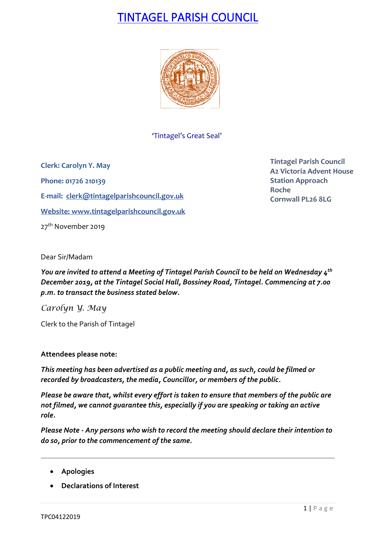# TINTAGEL PARISH COUNCIL



'Tintagel's Great Seal'

**Clerk: Carolyn Y. May Phone: 01726 210139 E-mail: [clerk@tintagelparishcouncil.gov.uk](mailto:clerk@tintagelparishcouncil.gov.uk) Website: [www.tintagelparishcouncil.gov.uk](http://www.tintagelparishcouncil.gov.uk/)** 27<sup>th</sup> November 2019

**Tintagel Parish Council A2 Victoria Advent House Station Approach Roche Cornwall PL26 8LG**

Dear Sir/Madam

*You are invited to attend a Meeting of Tintagel Parish Council to be held on Wednesday 4 th December 2019, at the Tintagel Social Hall, Bossiney Road, Tintagel. Commencing at 7.00 p.m. to transact the business stated below.*

*Carolyn Y. May*

Clerk to the Parish of Tintagel

## **Attendees please note:**

*This meeting has been advertised as a public meeting and, as such, could be filmed or recorded by broadcasters, the media, Councillor, or members of the public.*

*Please be aware that, whilst every effort is taken to ensure that members of the public are not filmed, we cannot guarantee this, especially if you are speaking or taking an active role.*

*Please Note - Any persons who wish to record the meeting should declare their intention to do so, prior to the commencement of the same.*

- **Apologies**
- **Declarations of Interest**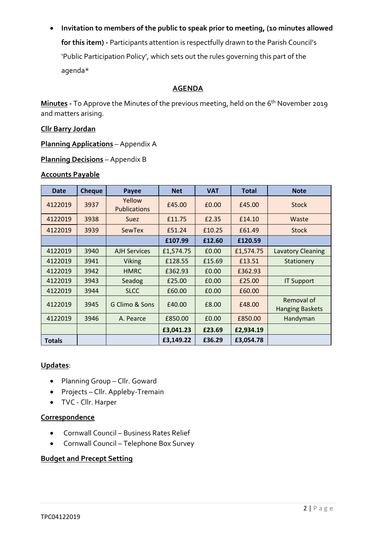# • **Invitation to members of the public to speak prior to meeting, (10 minutes allowed**

**for this item) -** Participants attention is respectfully drawn to the Parish Council's 'Public Participation Policy', which sets out the rules governing this part of the agenda\*

# **AGENDA**

**Minutes -** To Approve the Minutes of the previous meeting, held on the 6 th November 2019 and matters arising.

#### **Cllr Barry Jordan**

**Planning Applications** – Appendix A

**Planning Decisions** – Appendix B

#### **Accounts Payable**

| <b>Date</b>   | <b>Cheque</b> | Payee                         | <b>Net</b> | <b>VAT</b> | <b>Total</b> | <b>Note</b>                          |
|---------------|---------------|-------------------------------|------------|------------|--------------|--------------------------------------|
| 4122019       | 3937          | Yellow<br><b>Publications</b> | £45.00     | £0.00      | £45.00       | <b>Stock</b>                         |
| 4122019       | 3938          | <b>Suez</b>                   | £11.75     | £2.35      | £14.10       | Waste                                |
| 4122019       | 3939          | SewTex                        | £51.24     | £10.25     | £61.49       | <b>Stock</b>                         |
|               |               |                               | £107.99    | £12.60     | £120.59      |                                      |
| 4122019       | 3940          | <b>AJH Services</b>           | £1,574.75  | £0.00      | £1,574.75    | <b>Lavatory Cleaning</b>             |
| 4122019       | 3941          | <b>Viking</b>                 | £128.55    | £15.69     | £13.51       | Stationery                           |
| 4122019       | 3942          | <b>HMRC</b>                   | £362.93    | £0.00      | £362.93      |                                      |
| 4122019       | 3943          | Seadog                        | £25.00     | £0.00      | £25.00       | <b>IT Support</b>                    |
| 4122019       | 3944          | <b>SLCC</b>                   | £60.00     | £0.00      | £60.00       |                                      |
| 4122019       | 3945          | G Climo & Sons                | £40.00     | £8.00      | £48.00       | Removal of<br><b>Hanging Baskets</b> |
| 4122019       | 3946          | A. Pearce                     | £850.00    | £0.00      | £850.00      | Handyman                             |
|               |               |                               | £3,041.23  | £23.69     | £2,934.19    |                                      |
| <b>Totals</b> |               |                               | £3,149.22  | £36.29     | £3,054.78    |                                      |

#### **Updates**:

- Planning Group Cllr. Goward
- Projects Cllr. Appleby-Tremain
- TVC Cllr. Harper

# **Correspondence**

- Cornwall Council Business Rates Relief
- Cornwall Council Telephone Box Survey

## **Budget and Precept Setting**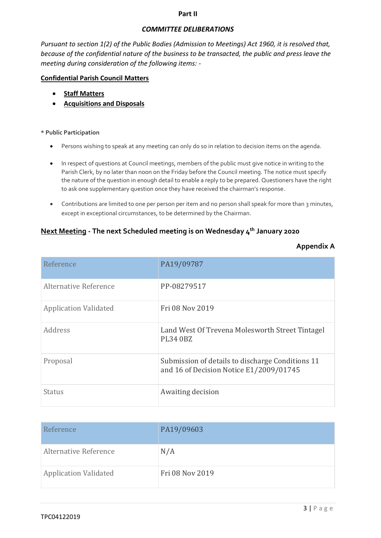#### **Part II**

#### *COMMITTEE DELIBERATIONS*

*Pursuant to section 1(2) of the Public Bodies (Admission to Meetings) Act 1960, it is resolved that, because of the confidential nature of the business to be transacted, the public and press leave the meeting during consideration of the following items: -*

#### **Confidential Parish Council Matters**

- **Staff Matters**
- **Acquisitions and Disposals**

#### **\* Public Participation**

- Persons wishing to speak at any meeting can only do so in relation to decision items on the agenda.
- In respect of questions at Council meetings, members of the public must give notice in writing to the Parish Clerk, by no later than noon on the Friday before the Council meeting. The notice must specify the nature of the question in enough detail to enable a reply to be prepared. Questioners have the right to ask one supplementary question once they have received the chairman's response.
- Contributions are limited to one per person per item and no person shall speak for more than 3 minutes, except in exceptional circumstances, to be determined by the Chairman.

# **Next Meeting - The next Scheduled meeting is on Wednesday 4 th January 2020**

| Reference                    | PA19/09787                                                                                  |
|------------------------------|---------------------------------------------------------------------------------------------|
| Alternative Reference        | PP-08279517                                                                                 |
| <b>Application Validated</b> | Fri 08 Nov 2019                                                                             |
| Address                      | Land West Of Trevena Molesworth Street Tintagel<br><b>PL34 0BZ</b>                          |
| Proposal                     | Submission of details to discharge Conditions 11<br>and 16 of Decision Notice E1/2009/01745 |
| Status                       | Awaiting decision                                                                           |

| Reference                    | PA19/09603      |
|------------------------------|-----------------|
| Alternative Reference        | N/A             |
| <b>Application Validated</b> | Fri 08 Nov 2019 |

#### **Appendix A**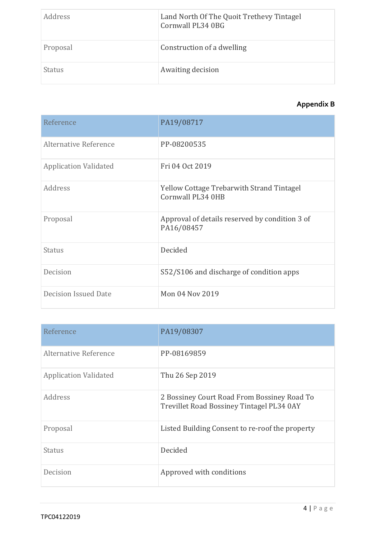| Address       | Land North Of The Quoit Trethevy Tintagel<br>Cornwall PL34 0BG |
|---------------|----------------------------------------------------------------|
| Proposal      | Construction of a dwelling                                     |
| <b>Status</b> | Awaiting decision                                              |

# **Appendix B**

| Reference                    | PA19/08717                                                            |
|------------------------------|-----------------------------------------------------------------------|
| Alternative Reference        | PP-08200535                                                           |
| <b>Application Validated</b> | Fri 04 Oct 2019                                                       |
| Address                      | <b>Yellow Cottage Trebarwith Strand Tintagel</b><br>Cornwall PL34 0HB |
| Proposal                     | Approval of details reserved by condition 3 of<br>PA16/08457          |
| <b>Status</b>                | Decided                                                               |
| Decision                     | S52/S106 and discharge of condition apps                              |
| Decision Issued Date         | Mon 04 Nov 2019                                                       |

| Reference                    | PA19/08307                                                                               |
|------------------------------|------------------------------------------------------------------------------------------|
| Alternative Reference        | PP-08169859                                                                              |
| <b>Application Validated</b> | Thu 26 Sep 2019                                                                          |
| Address                      | 2 Bossiney Court Road From Bossiney Road To<br>Trevillet Road Bossiney Tintagel PL34 0AY |
| Proposal                     | Listed Building Consent to re-roof the property                                          |
| <b>Status</b>                | Decided                                                                                  |
| Decision                     | Approved with conditions                                                                 |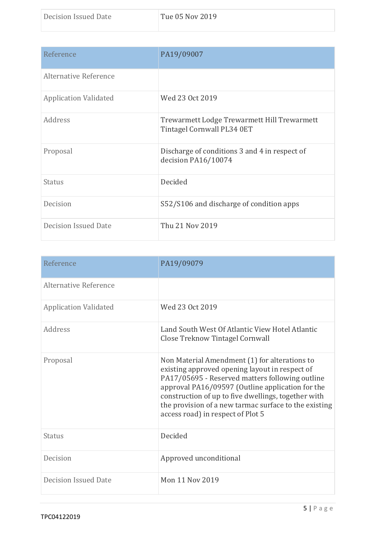| Reference                    | PA19/09007                                                                |
|------------------------------|---------------------------------------------------------------------------|
| Alternative Reference        |                                                                           |
| <b>Application Validated</b> | Wed 23 Oct 2019                                                           |
| Address                      | Trewarmett Lodge Trewarmett Hill Trewarmett<br>Tintagel Cornwall PL34 0ET |
| Proposal                     | Discharge of conditions 3 and 4 in respect of<br>decision PA16/10074      |
| <b>Status</b>                | Decided                                                                   |
| Decision                     | S52/S106 and discharge of condition apps                                  |
| <b>Decision Issued Date</b>  | Thu 21 Nov 2019                                                           |

| Reference                    | PA19/09079                                                                                                                                                                                                                                                                                                                                                  |
|------------------------------|-------------------------------------------------------------------------------------------------------------------------------------------------------------------------------------------------------------------------------------------------------------------------------------------------------------------------------------------------------------|
| Alternative Reference        |                                                                                                                                                                                                                                                                                                                                                             |
| <b>Application Validated</b> | Wed 23 Oct 2019                                                                                                                                                                                                                                                                                                                                             |
| Address                      | Land South West Of Atlantic View Hotel Atlantic<br><b>Close Treknow Tintagel Cornwall</b>                                                                                                                                                                                                                                                                   |
| Proposal                     | Non Material Amendment (1) for alterations to<br>existing approved opening layout in respect of<br>PA17/05695 - Reserved matters following outline<br>approval PA16/09597 (Outline application for the<br>construction of up to five dwellings, together with<br>the provision of a new tarmac surface to the existing<br>access road) in respect of Plot 5 |
| <b>Status</b>                | Decided                                                                                                                                                                                                                                                                                                                                                     |
| Decision                     | Approved unconditional                                                                                                                                                                                                                                                                                                                                      |
| <b>Decision Issued Date</b>  | Mon 11 Nov 2019                                                                                                                                                                                                                                                                                                                                             |